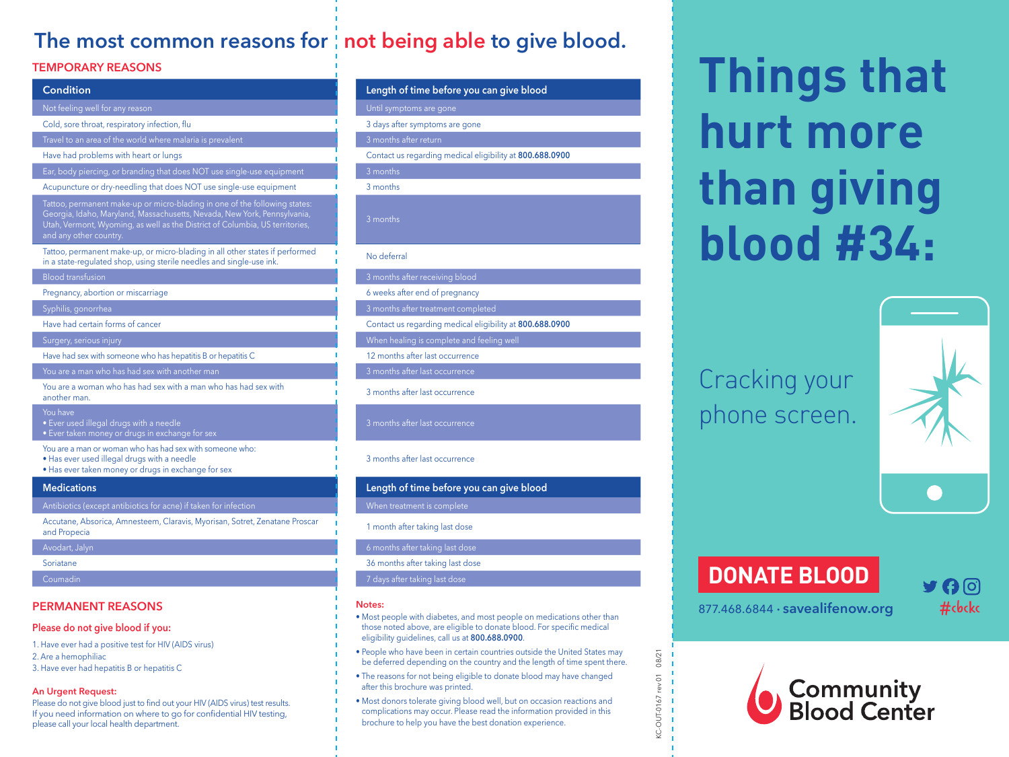## The most common reasons for not being able to give blood.

#### **TEMPORARY REASONS**

| <b>Condition</b>                                                                                                                                                                                                                                                 | Length of time before yo        |
|------------------------------------------------------------------------------------------------------------------------------------------------------------------------------------------------------------------------------------------------------------------|---------------------------------|
| Not feeling well for any reason                                                                                                                                                                                                                                  | Until symptoms are gone         |
| Cold, sore throat, respiratory infection, flu                                                                                                                                                                                                                    | 3 days after symptoms are gor   |
| Travel to an area of the world where malaria is prevalent                                                                                                                                                                                                        | 3 months after return           |
| Have had problems with heart or lungs                                                                                                                                                                                                                            | Contact us regarding medical    |
| Ear, body piercing, or branding that does NOT use single-use equipment                                                                                                                                                                                           | 3 months                        |
| Acupuncture or dry-needling that does NOT use single-use equipment                                                                                                                                                                                               | 3 months                        |
| Tattoo, permanent make-up or micro-blading in one of the following states:<br>Georgia, Idaho, Maryland, Massachusetts, Nevada, New York, Pennsylvania,<br>Utah, Vermont, Wyoming, as well as the District of Columbia, US territories,<br>and any other country. | 3 months                        |
| Tattoo, permanent make-up, or micro-blading in all other states if performed<br>in a state-regulated shop, using sterile needles and single-use ink.                                                                                                             | No deferral                     |
| <b>Blood transfusion</b>                                                                                                                                                                                                                                         | 3 months after receiving blood  |
| Pregnancy, abortion or miscarriage                                                                                                                                                                                                                               | 6 weeks after end of pregnand   |
| Syphilis, gonorrhea                                                                                                                                                                                                                                              | 3 months after treatment comp   |
| Have had certain forms of cancer                                                                                                                                                                                                                                 | Contact us regarding medical    |
| Surgery, serious injury                                                                                                                                                                                                                                          | When healing is complete and    |
| Have had sex with someone who has hepatitis B or hepatitis C                                                                                                                                                                                                     | 12 months after last occurrenc  |
| You are a man who has had sex with another man                                                                                                                                                                                                                   | 3 months after last occurrence  |
| You are a woman who has had sex with a man who has had sex with<br>another man.                                                                                                                                                                                  | 3 months after last occurrence  |
| You have<br>· Ever used illegal drugs with a needle<br>• Ever taken money or drugs in exchange for sex                                                                                                                                                           | 3 months after last occurrence  |
| You are a man or woman who has had sex with someone who:<br>. Has ever used illegal drugs with a needle<br>• Has ever taken money or drugs in exchange for sex                                                                                                   | 3 months after last occurrence  |
| <b>Medications</b>                                                                                                                                                                                                                                               | Length of time before yo        |
| Antibiotics (except antibiotics for acne) if taken for infection                                                                                                                                                                                                 | When treatment is complete      |
| Accutane, Absorica, Amnesteem, Claravis, Myorisan, Sotret, Zenatane Proscar<br>and Propecia                                                                                                                                                                      | 1 month after taking last dose  |
| Avodart, Jalyn                                                                                                                                                                                                                                                   | 6 months after taking last dose |
| Soriatane                                                                                                                                                                                                                                                        | 36 months after taking last dos |
| Coumadin                                                                                                                                                                                                                                                         | 7 days after taking last dose   |
|                                                                                                                                                                                                                                                                  |                                 |

#### **PERMANENT REASONS**

#### **Please do not give blood if you:**

- 1. Have ever had a positive test for HIV (AIDS virus) 2. Are a hemophiliac
- 3. Have ever had hepatitis B or hepatitis C

#### **An Urgent Request:**

Please do not give blood just to find out your HIV (AIDS virus) test results. If you need information on where to go for confidential HIV testing, please call your local health department.

# **Condition Length of time before you can give blood** notoms are gone efter symptoms are gone us regarding medical eligibility at 800.688.0900

- s after end of pregnancy
- is after treatment completed
- us regarding medical eligibility at 800.688.0900
- ealing is complete and feeling well
- ths after last occurrence
- s after last occurrence
- 

#### after last occurrence

#### hs after last occurrence

#### **Medications Length of time before you can give blood**

#### ths after taking last dose

#### **Notes:**

- Most people with diabetes, and most people on medications other than those noted above, are eligible to donate blood. For specific medical eligibility guidelines, call us at **800.688.0900**.
- People who have been in certain countries outside the United States may be deferred depending on the country and the length of time spent there.
- The reasons for not being eligible to donate blood may have changed after this brochure was printed.
- Most donors tolerate giving blood well, but on occasion reactions and complications may occur. Please read the information provided in this brochure to help you have the best donation experience.

# **Things that hurt more than giving blood #34:**

Cracking your phone screen.



# **DONATE BLOOD**

877.468.6844 · **savealifenow.org** #cbckc